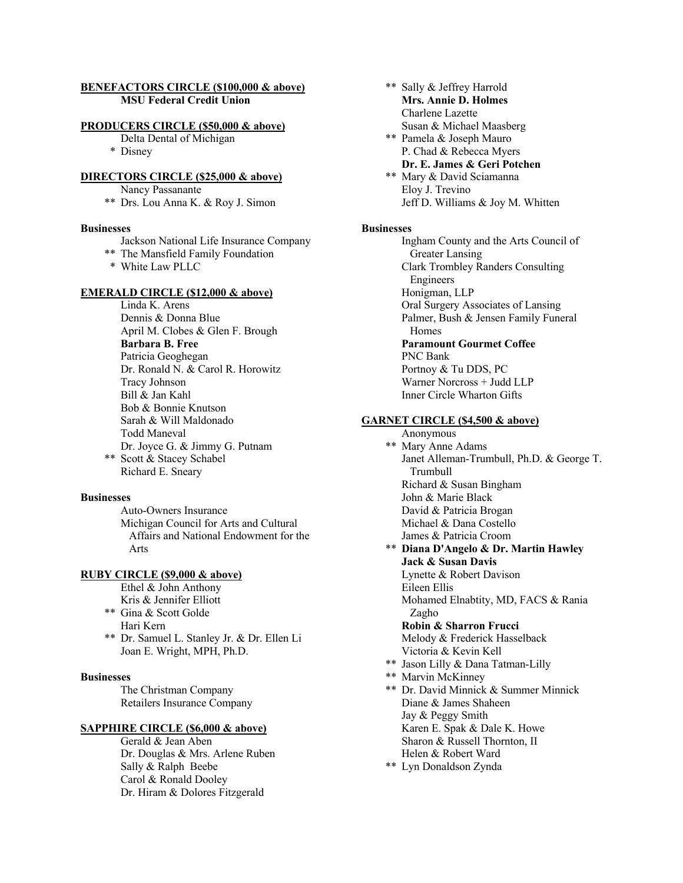# **BENEFACTORS CIRCLE (\$100,000 & above) MSU Federal Credit Union**

#### **PRODUCERS CIRCLE (\$50,000 & above)**

Delta Dental of Michigan

\* Disney

# **DIRECTORS CIRCLE (\$25,000 & above)**

Nancy Passanante

\*\* Drs. Lou Anna K. & Roy J. Simon

#### **Businesses**

- Jackson National Life Insurance Company
- \*\* The Mansfield Family Foundation
- \* White Law PLLC

#### **EMERALD CIRCLE (\$12,000 & above)**

Linda K. Arens Dennis & Donna Blue April M. Clobes & Glen F. Brough **Barbara B. Free** Patricia Geoghegan Dr. Ronald N. & Carol R. Horowitz Tracy Johnson Bill & Jan Kahl Bob & Bonnie Knutson Sarah & Will Maldonado Todd Maneval Dr. Joyce G. & Jimmy G. Putnam \*\* Scott & Stacey Schabel Richard E. Sneary

#### **Businesses**

Auto-Owners Insurance Michigan Council for Arts and Cultural Affairs and National Endowment for the Arts

#### **RUBY CIRCLE (\$9,000 & above)**

- Ethel & John Anthony Kris & Jennifer Elliott
- \*\* Gina & Scott Golde
- Hari Kern \*\* Dr. Samuel L. Stanley Jr. & Dr. Ellen Li
	- Joan E. Wright, MPH, Ph.D.

#### **Businesses**

The Christman Company Retailers Insurance Company

### **SAPPHIRE CIRCLE (\$6,000 & above)**

Gerald & Jean Aben Dr. Douglas & Mrs. Arlene Ruben Sally & Ralph Beebe Carol & Ronald Dooley Dr. Hiram & Dolores Fitzgerald

- \*\* Sally & Jeffrey Harrold **Mrs. Annie D. Holmes** Charlene Lazette Susan & Michael Maasberg
- \*\* Pamela & Joseph Mauro P. Chad & Rebecca Myers **Dr. E. James & Geri Potchen**

# \*\* Mary & David Sciamanna

Eloy J. Trevino Jeff D. Williams & Joy M. Whitten

# **Businesses**

Ingham County and the Arts Council of Greater Lansing Clark Trombley Randers Consulting Engineers Honigman, LLP Oral Surgery Associates of Lansing Palmer, Bush & Jensen Family Funeral Homes **Paramount Gourmet Coffee** PNC Bank Portnoy & Tu DDS, PC Warner Norcross + Judd LLP Inner Circle Wharton Gifts

#### **GARNET CIRCLE (\$4,500 & above)**

Anonymous \*\* Mary Anne Adams Janet Alleman-Trumbull, Ph.D. & George T. Trumbull Richard & Susan Bingham John & Marie Black David & Patricia Brogan Michael & Dana Costello James & Patricia Croom \*\* **Diana D'Angelo & Dr. Martin Hawley Jack & Susan Davis** Lynette & Robert Davison Eileen Ellis Mohamed Elnabtity, MD, FACS & Rania Zagho **Robin & Sharron Frucci** Melody & Frederick Hasselback Victoria & Kevin Kell \*\* Jason Lilly & Dana Tatman-Lilly \*\* Marvin McKinney \*\* Dr. David Minnick & Summer Minnick Diane & James Shaheen Jay & Peggy Smith Karen E. Spak & Dale K. Howe Sharon & Russell Thornton, II Helen & Robert Ward

\*\* Lyn Donaldson Zynda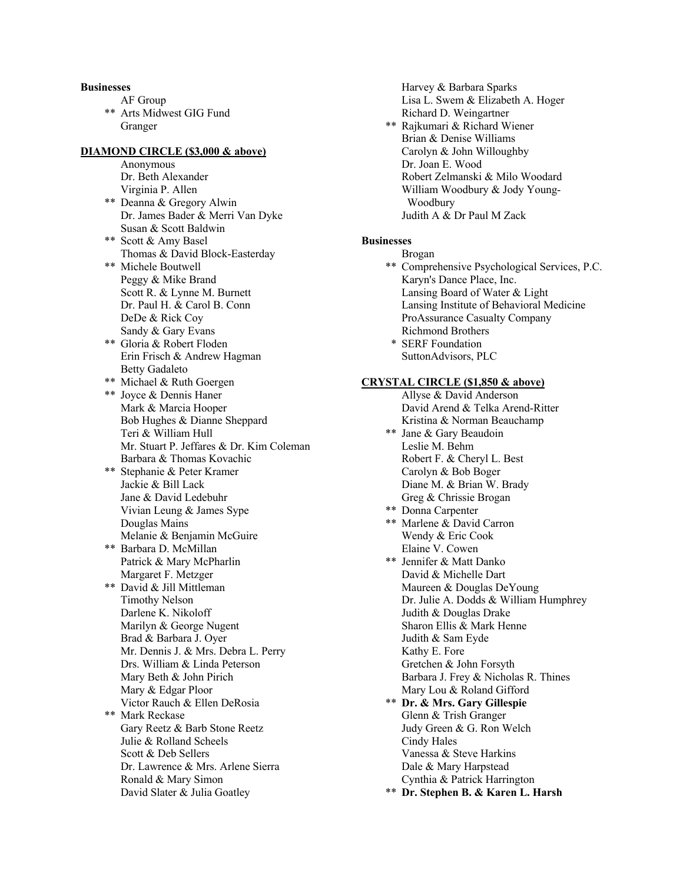#### **Businesses**

- AF Group
- \*\* Arts Midwest GIG Fund Granger

# **DIAMOND CIRCLE (\$3,000 & above)**

Anonymous Dr. Beth Alexander Virginia P. Allen

- \*\* Deanna & Gregory Alwin Dr. James Bader & Merri Van Dyke Susan & Scott Baldwin
- \*\* Scott & Amy Basel Thomas & David Block-Easterday \*\* Michele Boutwell Peggy & Mike Brand Scott R. & Lynne M. Burnett Dr. Paul H. & Carol B. Conn DeDe & Rick Coy Sandy & Gary Evans \*\* Gloria & Robert Floden
- Erin Frisch & Andrew Hagman Betty Gadaleto \*\* Michael & Ruth Goergen
- \*\* Joyce & Dennis Haner Mark & Marcia Hooper Bob Hughes & Dianne Sheppard Teri & William Hull Mr. Stuart P. Jeffares & Dr. Kim Coleman Barbara & Thomas Kovachic \*\* Stephanie & Peter Kramer Jackie & Bill Lack Jane & David Ledebuhr Vivian Leung & James Sype Douglas Mains Melanie & Benjamin McGuire \*\* Barbara D. McMillan Patrick & Mary McPharlin Margaret F. Metzger \*\* David & Jill Mittleman Timothy Nelson
- Darlene K. Nikoloff Marilyn & George Nugent Brad & Barbara J. Oyer Mr. Dennis J. & Mrs. Debra L. Perry Drs. William & Linda Peterson Mary Beth & John Pirich Mary & Edgar Ploor Victor Rauch & Ellen DeRosia \*\* Mark Reckase Gary Reetz & Barb Stone Reetz Julie & Rolland Scheels Scott & Deb Sellers Dr. Lawrence & Mrs. Arlene Sierra Ronald & Mary Simon David Slater & Julia Goatley

Harvey & Barbara Sparks Lisa L. Swem & Elizabeth A. Hoger Richard D. Weingartner \*\* Rajkumari & Richard Wiener Brian & Denise Williams Carolyn & John Willoughby Dr. Joan E. Wood Robert Zelmanski & Milo Woodard William Woodbury & Jody Young- Woodbury Judith A & Dr Paul M Zack

# **Businesses**

- Brogan \*\* Comprehensive Psychological Services, P.C. Karyn's Dance Place, Inc. Lansing Board of Water & Light Lansing Institute of Behavioral Medicine ProAssurance Casualty Company Richmond Brothers
- \* SERF Foundation SuttonAdvisors, PLC

# **CRYSTAL CIRCLE (\$1,850 & above)**

- Allyse & David Anderson David Arend & Telka Arend-Ritter Kristina & Norman Beauchamp \*\* Jane & Gary Beaudoin Leslie M. Behm Robert F. & Cheryl L. Best Carolyn & Bob Boger Diane M. & Brian W. Brady Greg & Chrissie Brogan \*\* Donna Carpenter \*\* Marlene & David Carron Wendy & Eric Cook Elaine V. Cowen \*\* Jennifer & Matt Danko David & Michelle Dart Maureen & Douglas DeYoung Dr. Julie A. Dodds & William Humphrey Judith & Douglas Drake Sharon Ellis & Mark Henne Judith & Sam Eyde Kathy E. Fore Gretchen & John Forsyth Barbara J. Frey & Nicholas R. Thines Mary Lou & Roland Gifford \*\* **Dr. & Mrs. Gary Gillespie** Glenn & Trish Granger Judy Green & G. Ron Welch Cindy Hales Vanessa & Steve Harkins Dale & Mary Harpstead Cynthia & Patrick Harrington
- \*\* **Dr. Stephen B. & Karen L. Harsh**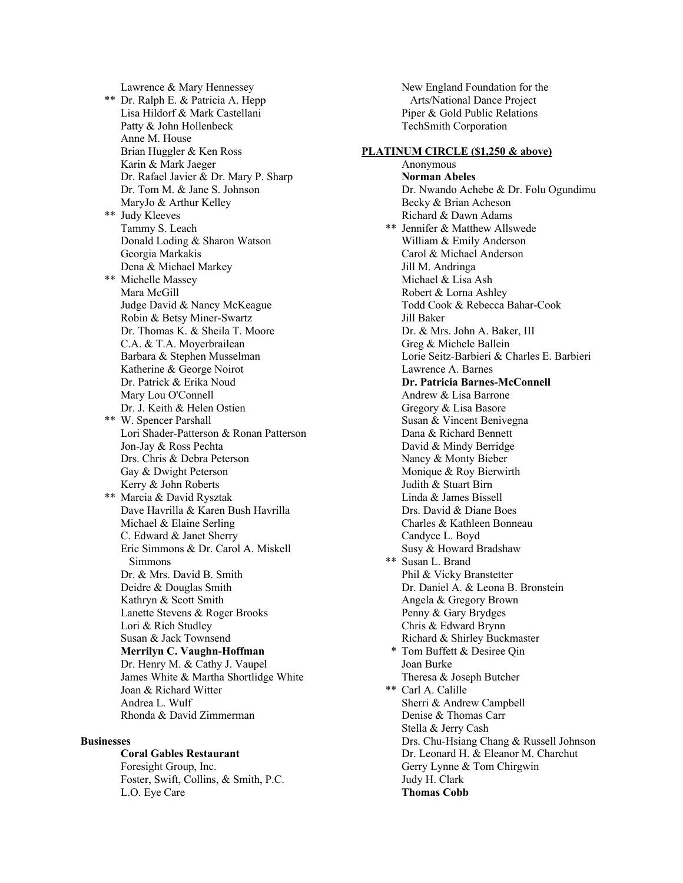Lawrence & Mary Hennessey \*\* Dr. Ralph E. & Patricia A. Hepp Lisa Hildorf & Mark Castellani Patty & John Hollenbeck Anne M. House Brian Huggler & Ken Ross Karin & Mark Jaeger Dr. Rafael Javier & Dr. Mary P. Sharp Dr. Tom M. & Jane S. Johnson MaryJo & Arthur Kelley \*\* Judy Kleeves Tammy S. Leach Donald Loding & Sharon Watson Georgia Markakis Dena & Michael Markey \*\* Michelle Massey Mara McGill Judge David & Nancy McKeague Robin & Betsy Miner-Swartz Dr. Thomas K. & Sheila T. Moore C.A. & T.A. Moyerbrailean Barbara & Stephen Musselman Katherine & George Noirot Dr. Patrick & Erika Noud Mary Lou O'Connell Dr. J. Keith & Helen Ostien \*\* W. Spencer Parshall Lori Shader-Patterson & Ronan Patterson Jon-Jay & Ross Pechta Drs. Chris & Debra Peterson Gay & Dwight Peterson Kerry & John Roberts \*\* Marcia & David Rysztak Dave Havrilla & Karen Bush Havrilla Michael & Elaine Serling C. Edward & Janet Sherry Eric Simmons & Dr. Carol A. Miskell Simmons Dr. & Mrs. David B. Smith Deidre & Douglas Smith Kathryn & Scott Smith Lanette Stevens & Roger Brooks Lori & Rich Studley Susan & Jack Townsend **Merrilyn C. Vaughn-Hoffman** Dr. Henry M. & Cathy J. Vaupel James White & Martha Shortlidge White Joan & Richard Witter Andrea L. Wulf Rhonda & David Zimmerman

### **Businesses**

**Coral Gables Restaurant** Foresight Group, Inc. Foster, Swift, Collins, & Smith, P.C. L.O. Eye Care

New England Foundation for the Arts/National Dance Project Piper & Gold Public Relations TechSmith Corporation

# **PLATINUM CIRCLE (\$1,250 & above)**

Anonymous **Norman Abeles** Dr. Nwando Achebe & Dr. Folu Ogundimu Becky & Brian Acheson Richard & Dawn Adams \*\* Jennifer & Matthew Allswede William & Emily Anderson Carol & Michael Anderson Jill M. Andringa Michael & Lisa Ash Robert & Lorna Ashley Todd Cook & Rebecca Bahar-Cook Jill Baker Dr. & Mrs. John A. Baker, III Greg & Michele Ballein Lorie Seitz-Barbieri & Charles E. Barbieri Lawrence A. Barnes **Dr. Patricia Barnes-McConnell** Andrew & Lisa Barrone Gregory & Lisa Basore Susan & Vincent Benivegna Dana & Richard Bennett David & Mindy Berridge Nancy & Monty Bieber Monique & Roy Bierwirth Judith & Stuart Birn Linda & James Bissell Drs. David & Diane Boes Charles & Kathleen Bonneau Candyce L. Boyd Susy & Howard Bradshaw \*\* Susan L. Brand Phil & Vicky Branstetter Dr. Daniel A. & Leona B. Bronstein Angela & Gregory Brown Penny & Gary Brydges Chris & Edward Brynn Richard & Shirley Buckmaster \* Tom Buffett & Desiree Qin Joan Burke Theresa & Joseph Butcher \*\* Carl A. Calille Sherri & Andrew Campbell Denise & Thomas Carr Stella & Jerry Cash Drs. Chu-Hsiang Chang & Russell Johnson Dr. Leonard H. & Eleanor M. Charchut Gerry Lynne & Tom Chirgwin Judy H. Clark **Thomas Cobb**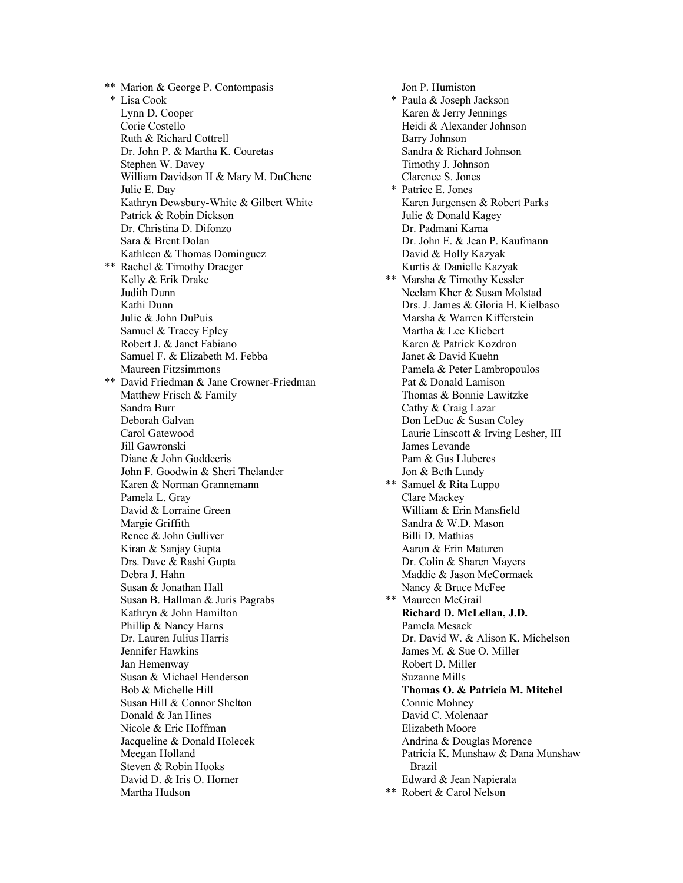\*\* Marion & George P. Contompasis \* Lisa Cook Lynn D. Cooper Corie Costello Ruth & Richard Cottrell Dr. John P. & Martha K. Couretas Stephen W. Davey William Davidson II & Mary M. DuChene Julie E. Day Kathryn Dewsbury-White & Gilbert White Patrick & Robin Dickson Dr. Christina D. Difonzo Sara & Brent Dolan Kathleen & Thomas Dominguez \*\* Rachel & Timothy Draeger Kelly & Erik Drake Judith Dunn Kathi Dunn Julie & John DuPuis Samuel & Tracey Epley Robert J. & Janet Fabiano Samuel F. & Elizabeth M. Febba Maureen Fitzsimmons \*\* David Friedman & Jane Crowner-Friedman Matthew Frisch & Family Sandra Burr Deborah Galvan Carol Gatewood Jill Gawronski Diane & John Goddeeris John F. Goodwin & Sheri Thelander Karen & Norman Grannemann Pamela L. Gray David & Lorraine Green Margie Griffith Renee & John Gulliver Kiran & Sanjay Gupta Drs. Dave & Rashi Gupta Debra J. Hahn Susan & Jonathan Hall Susan B. Hallman & Juris Pagrabs Kathryn & John Hamilton Phillip & Nancy Harns Dr. Lauren Julius Harris Jennifer Hawkins Jan Hemenway Susan & Michael Henderson Bob & Michelle Hill Susan Hill & Connor Shelton Donald & Jan Hines Nicole & Eric Hoffman Jacqueline & Donald Holecek Meegan Holland Steven & Robin Hooks David D. & Iris O. Horner Martha Hudson

Jon P. Humiston \* Paula & Joseph Jackson Karen & Jerry Jennings Heidi & Alexander Johnson Barry Johnson Sandra & Richard Johnson Timothy J. Johnson Clarence S. Jones \* Patrice E. Jones Karen Jurgensen & Robert Parks Julie & Donald Kagey Dr. Padmani Karna Dr. John E. & Jean P. Kaufmann David & Holly Kazyak Kurtis & Danielle Kazyak \*\* Marsha & Timothy Kessler Neelam Kher & Susan Molstad Drs. J. James & Gloria H. Kielbaso Marsha & Warren Kifferstein Martha & Lee Kliebert Karen & Patrick Kozdron Janet & David Kuehn Pamela & Peter Lambropoulos Pat & Donald Lamison Thomas & Bonnie Lawitzke Cathy & Craig Lazar Don LeDuc & Susan Coley Laurie Linscott & Irving Lesher, III James Levande Pam & Gus Lluberes Jon & Beth Lundy \*\* Samuel & Rita Luppo Clare Mackey William & Erin Mansfield Sandra & W.D. Mason Billi D. Mathias Aaron & Erin Maturen Dr. Colin & Sharen Mayers Maddie & Jason McCormack Nancy & Bruce McFee \*\* Maureen McGrail **Richard D. McLellan, J.D.** Pamela Mesack Dr. David W. & Alison K. Michelson James M. & Sue O. Miller Robert D. Miller Suzanne Mills **Thomas O. & Patricia M. Mitchel** Connie Mohney David C. Molenaar Elizabeth Moore Andrina & Douglas Morence Patricia K. Munshaw & Dana Munshaw Brazil Edward & Jean Napierala \*\* Robert & Carol Nelson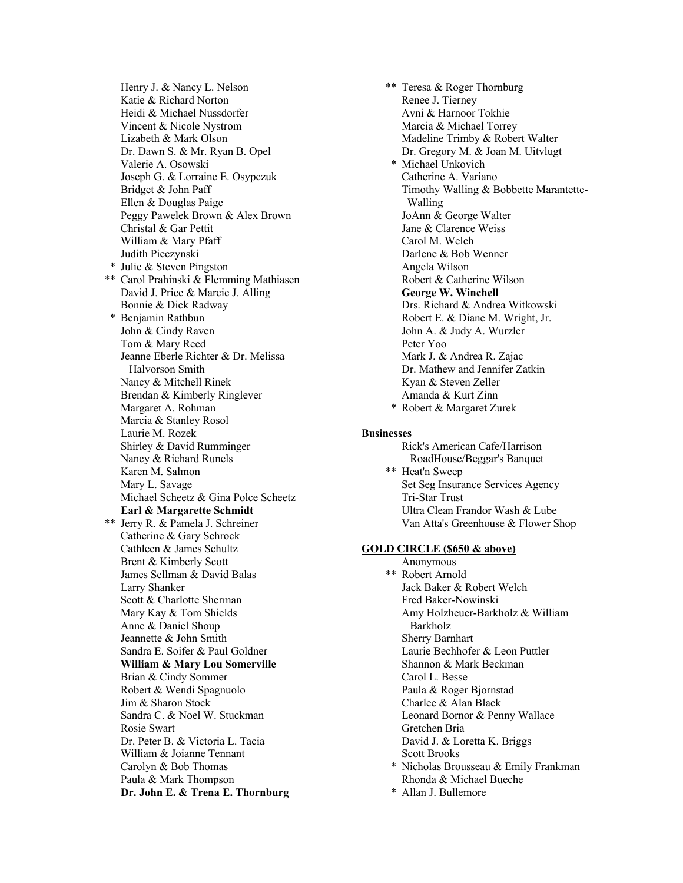Henry J. & Nancy L. Nelson Katie & Richard Norton Heidi & Michael Nussdorfer Vincent & Nicole Nystrom Lizabeth & Mark Olson Dr. Dawn S. & Mr. Ryan B. Opel Valerie A. Osowski Joseph G. & Lorraine E. Osypczuk Bridget & John Paff Ellen & Douglas Paige Peggy Pawelek Brown & Alex Brown Christal & Gar Pettit William & Mary Pfaff Judith Pieczynski \* Julie & Steven Pingston \*\* Carol Prahinski & Flemming Mathiasen David J. Price & Marcie J. Alling Bonnie & Dick Radway \* Benjamin Rathbun John & Cindy Raven Tom & Mary Reed Jeanne Eberle Richter & Dr. Melissa Halvorson Smith Nancy & Mitchell Rinek Brendan & Kimberly Ringlever Margaret A. Rohman Marcia & Stanley Rosol Laurie M. Rozek Shirley & David Rumminger Nancy & Richard Runels Karen M. Salmon Mary L. Savage Michael Scheetz & Gina Polce Scheetz **Earl & Margarette Schmidt** \*\* Jerry R. & Pamela J. Schreiner Catherine & Gary Schrock Cathleen & James Schultz Brent & Kimberly Scott James Sellman & David Balas Larry Shanker Scott & Charlotte Sherman Mary Kay & Tom Shields Anne & Daniel Shoup Jeannette & John Smith Sandra E. Soifer & Paul Goldner **William & Mary Lou Somerville** Brian & Cindy Sommer Robert & Wendi Spagnuolo Jim & Sharon Stock Sandra C. & Noel W. Stuckman Rosie Swart Dr. Peter B. & Victoria L. Tacia William & Joianne Tennant Carolyn & Bob Thomas Paula & Mark Thompson **Dr. John E. & Trena E. Thornburg**

\*\* Teresa & Roger Thornburg Renee J. Tierney Avni & Harnoor Tokhie Marcia & Michael Torrey Madeline Trimby & Robert Walter Dr. Gregory M. & Joan M. Uitvlugt \* Michael Unkovich Catherine A. Variano Timothy Walling & Bobbette Marantette- Walling JoAnn & George Walter Jane & Clarence Weiss Carol M. Welch Darlene & Bob Wenner Angela Wilson Robert & Catherine Wilson **George W. Winchell** Drs. Richard & Andrea Witkowski Robert E. & Diane M. Wright, Jr. John A. & Judy A. Wurzler Peter Yoo Mark J. & Andrea R. Zajac Dr. Mathew and Jennifer Zatkin Kyan & Steven Zeller Amanda & Kurt Zinn \* Robert & Margaret Zurek

#### **Businesses**

Rick's American Cafe/Harrison RoadHouse/Beggar's Banquet \*\* Heat'n Sweep Set Seg Insurance Services Agency Tri-Star Trust Ultra Clean Frandor Wash & Lube Van Atta's Greenhouse & Flower Shop

#### **GOLD CIRCLE (\$650 & above)**

Anonymous \*\* Robert Arnold Jack Baker & Robert Welch Fred Baker-Nowinski Amy Holzheuer-Barkholz & William Barkholz Sherry Barnhart Laurie Bechhofer & Leon Puttler Shannon & Mark Beckman Carol L. Besse Paula & Roger Bjornstad Charlee & Alan Black Leonard Bornor & Penny Wallace Gretchen Bria David J. & Loretta K. Briggs Scott Brooks \* Nicholas Brousseau & Emily Frankman Rhonda & Michael Bueche \* Allan J. Bullemore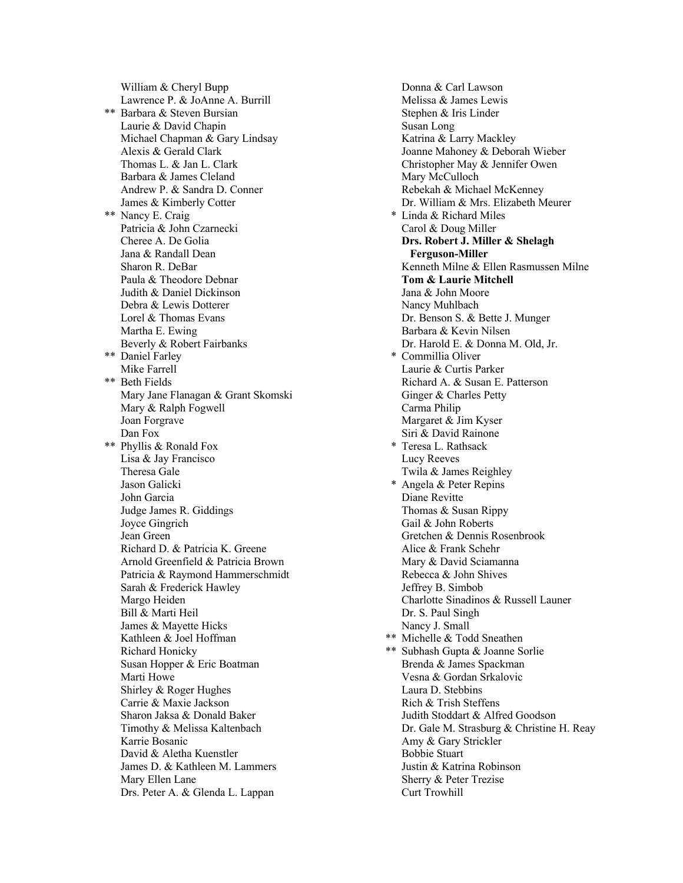William & Cheryl Bupp Lawrence P. & JoAnne A. Burrill \*\* Barbara & Steven Bursian Laurie & David Chapin Michael Chapman & Gary Lindsay Alexis & Gerald Clark Thomas L. & Jan L. Clark Barbara & James Cleland Andrew P. & Sandra D. Conner James & Kimberly Cotter \*\* Nancy E. Craig Patricia & John Czarnecki Cheree A. De Golia Jana & Randall Dean Sharon R. DeBar Paula & Theodore Debnar Judith & Daniel Dickinson Debra & Lewis Dotterer Lorel & Thomas Evans Martha E. Ewing Beverly & Robert Fairbanks \*\* Daniel Farley Mike Farrell \*\* Beth Fields Mary Jane Flanagan & Grant Skomski Mary & Ralph Fogwell Joan Forgrave Dan Fox \*\* Phyllis & Ronald Fox Lisa & Jay Francisco Theresa Gale Jason Galicki John Garcia Judge James R. Giddings Joyce Gingrich Jean Green Richard D. & Patricia K. Greene Arnold Greenfield & Patricia Brown Patricia & Raymond Hammerschmidt Sarah & Frederick Hawley Margo Heiden Bill & Marti Heil James & Mayette Hicks Kathleen & Joel Hoffman Richard Honicky Susan Hopper & Eric Boatman Marti Howe Shirley & Roger Hughes Carrie & Maxie Jackson Sharon Jaksa & Donald Baker Timothy & Melissa Kaltenbach Karrie Bosanic David & Aletha Kuenstler James D. & Kathleen M. Lammers Mary Ellen Lane Drs. Peter A. & Glenda L. Lappan

Donna & Carl Lawson Melissa & James Lewis Stephen & Iris Linder Susan Long Katrina & Larry Mackley Joanne Mahoney & Deborah Wieber Christopher May & Jennifer Owen Mary McCulloch Rebekah & Michael McKenney Dr. William & Mrs. Elizabeth Meurer \* Linda & Richard Miles Carol & Doug Miller **Drs. Robert J. Miller & Shelagh Ferguson-Miller** Kenneth Milne & Ellen Rasmussen Milne **Tom & Laurie Mitchell** Jana & John Moore Nancy Muhlbach Dr. Benson S. & Bette J. Munger Barbara & Kevin Nilsen Dr. Harold E. & Donna M. Old, Jr. \* Commillia Oliver Laurie & Curtis Parker Richard A. & Susan E. Patterson Ginger & Charles Petty Carma Philip Margaret & Jim Kyser Siri & David Rainone \* Teresa L. Rathsack Lucy Reeves Twila & James Reighley \* Angela & Peter Repins Diane Revitte Thomas & Susan Rippy Gail & John Roberts Gretchen & Dennis Rosenbrook Alice & Frank Schehr Mary & David Sciamanna Rebecca & John Shives Jeffrey B. Simbob Charlotte Sinadinos & Russell Launer Dr. S. Paul Singh Nancy J. Small \*\* Michelle & Todd Sneathen \*\* Subhash Gupta & Joanne Sorlie Brenda & James Spackman Vesna & Gordan Srkalovic Laura D. Stebbins Rich & Trish Steffens Judith Stoddart & Alfred Goodson Dr. Gale M. Strasburg & Christine H. Reay Amy & Gary Strickler Bobbie Stuart Justin & Katrina Robinson Sherry & Peter Trezise Curt Trowhill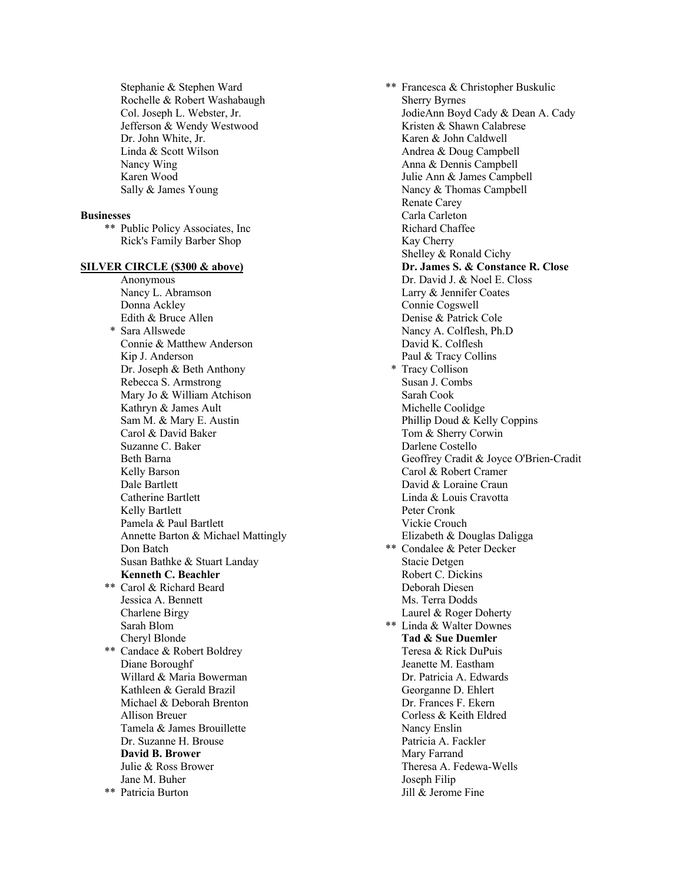Stephanie & Stephen Ward Rochelle & Robert Washabaugh Col. Joseph L. Webster, Jr. Jefferson & Wendy Westwood Dr. John White, Jr. Linda & Scott Wilson Nancy Wing Karen Wood Sally & James Young

#### **Businesses**

\*\* Public Policy Associates, Inc Rick's Family Barber Shop

#### **SILVER CIRCLE (\$300 & above)**

Anonymous Nancy L. Abramson Donna Ackley Edith & Bruce Allen \* Sara Allswede Connie & Matthew Anderson Kip J. Anderson Dr. Joseph & Beth Anthony Rebecca S. Armstrong Mary Jo & William Atchison Kathryn & James Ault Sam M. & Mary E. Austin Carol & David Baker Suzanne C. Baker Beth Barna Kelly Barson Dale Bartlett Catherine Bartlett Kelly Bartlett Pamela & Paul Bartlett Annette Barton & Michael Mattingly Don Batch Susan Bathke & Stuart Landay **Kenneth C. Beachler** Carol & Richard Beard Jessica A. Bennett Charlene Birgy Sarah Blom Cheryl Blonde \*\* Candace & Robert Boldrey Diane Boroughf Willard & Maria Bowerman Kathleen & Gerald Brazil Michael & Deborah Brenton Allison Breuer Tamela & James Brouillette Dr. Suzanne H. Brouse **David B. Brower** Julie & Ross Brower Jane M. Buher \*\* Patricia Burton

\*\* Francesca & Christopher Buskulic Sherry Byrnes JodieAnn Boyd Cady & Dean A. Cady Kristen & Shawn Calabrese Karen & John Caldwell Andrea & Doug Campbell Anna & Dennis Campbell Julie Ann & James Campbell Nancy & Thomas Campbell Renate Carey Carla Carleton Richard Chaffee Kay Cherry Shelley & Ronald Cichy **Dr. James S. & Constance R. Close** Dr. David J. & Noel E. Closs Larry & Jennifer Coates Connie Cogswell Denise & Patrick Cole Nancy A. Colflesh, Ph.D David K. Colflesh Paul & Tracy Collins \* Tracy Collison Susan J. Combs Sarah Cook Michelle Coolidge Phillip Doud & Kelly Coppins Tom & Sherry Corwin Darlene Costello Geoffrey Cradit & Joyce O'Brien-Cradit Carol & Robert Cramer David & Loraine Craun Linda & Louis Cravotta Peter Cronk Vickie Crouch Elizabeth & Douglas Daligga \*\* Condalee & Peter Decker Stacie Detgen Robert C. Dickins Deborah Diesen Ms. Terra Dodds Laurel & Roger Doherty \*\* Linda & Walter Downes **Tad & Sue Duemler** Teresa & Rick DuPuis Jeanette M. Eastham Dr. Patricia A. Edwards Georganne D. Ehlert Dr. Frances F. Ekern Corless & Keith Eldred Nancy Enslin Patricia A. Fackler Mary Farrand Theresa A. Fedewa-Wells Joseph Filip Jill & Jerome Fine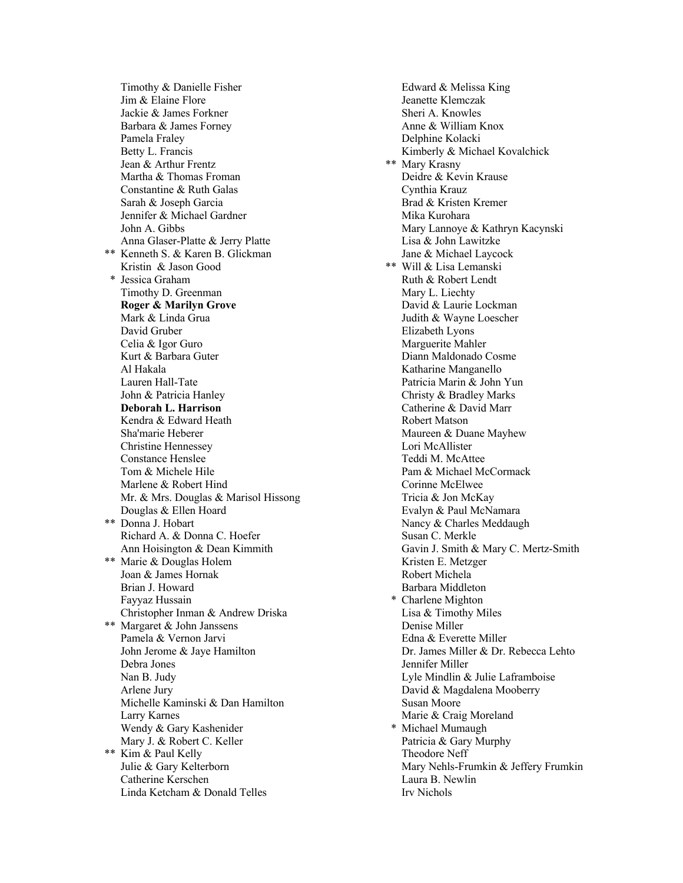Timothy & Danielle Fisher Jim & Elaine Flore Jackie & James Forkner Barbara & James Forney Pamela Fraley Betty L. Francis Jean & Arthur Frentz Martha & Thomas Froman Constantine & Ruth Galas Sarah & Joseph Garcia Jennifer & Michael Gardner John A. Gibbs Anna Glaser-Platte & Jerry Platte \*\* Kenneth S. & Karen B. Glickman Kristin & Jason Good \* Jessica Graham Timothy D. Greenman **Roger & Marilyn Grove** Mark & Linda Grua David Gruber Celia & Igor Guro Kurt & Barbara Guter Al Hakala Lauren Hall-Tate John & Patricia Hanley **Deborah L. Harrison** Kendra & Edward Heath Sha'marie Heberer Christine Hennessey Constance Henslee Tom & Michele Hile Marlene & Robert Hind Mr. & Mrs. Douglas & Marisol Hissong Douglas & Ellen Hoard \*\* Donna J. Hobart Richard A. & Donna C. Hoefer Ann Hoisington & Dean Kimmith \*\* Marie & Douglas Holem Joan & James Hornak Brian J. Howard Fayyaz Hussain Christopher Inman & Andrew Driska \*\* Margaret & John Janssens Pamela & Vernon Jarvi John Jerome & Jaye Hamilton Debra Jones Nan B. Judy Arlene Jury Michelle Kaminski & Dan Hamilton Larry Karnes Wendy & Gary Kashenider Mary J. & Robert C. Keller \*\* Kim & Paul Kelly Julie & Gary Kelterborn Catherine Kerschen Linda Ketcham & Donald Telles

Edward & Melissa King Jeanette Klemczak Sheri A. Knowles Anne & William Knox Delphine Kolacki Kimberly & Michael Kovalchick \*\* Mary Krasny Deidre & Kevin Krause Cynthia Krauz Brad & Kristen Kremer Mika Kurohara Mary Lannoye & Kathryn Kacynski Lisa & John Lawitzke Jane & Michael Laycock \*\* Will & Lisa Lemanski Ruth & Robert Lendt Mary L. Liechty David & Laurie Lockman Judith & Wayne Loescher Elizabeth Lyons Marguerite Mahler Diann Maldonado Cosme Katharine Manganello Patricia Marin & John Yun Christy & Bradley Marks Catherine & David Marr Robert Matson Maureen & Duane Mayhew Lori McAllister Teddi M. McAttee Pam & Michael McCormack Corinne McElwee Tricia & Jon McKay Evalyn & Paul McNamara Nancy & Charles Meddaugh Susan C. Merkle Gavin J. Smith & Mary C. Mertz-Smith Kristen E. Metzger Robert Michela Barbara Middleton \* Charlene Mighton Lisa & Timothy Miles Denise Miller Edna & Everette Miller Dr. James Miller & Dr. Rebecca Lehto Jennifer Miller Lyle Mindlin & Julie Laframboise David & Magdalena Mooberry Susan Moore Marie & Craig Moreland \* Michael Mumaugh Patricia & Gary Murphy Theodore Neff Mary Nehls-Frumkin & Jeffery Frumkin Laura B. Newlin Irv Nichols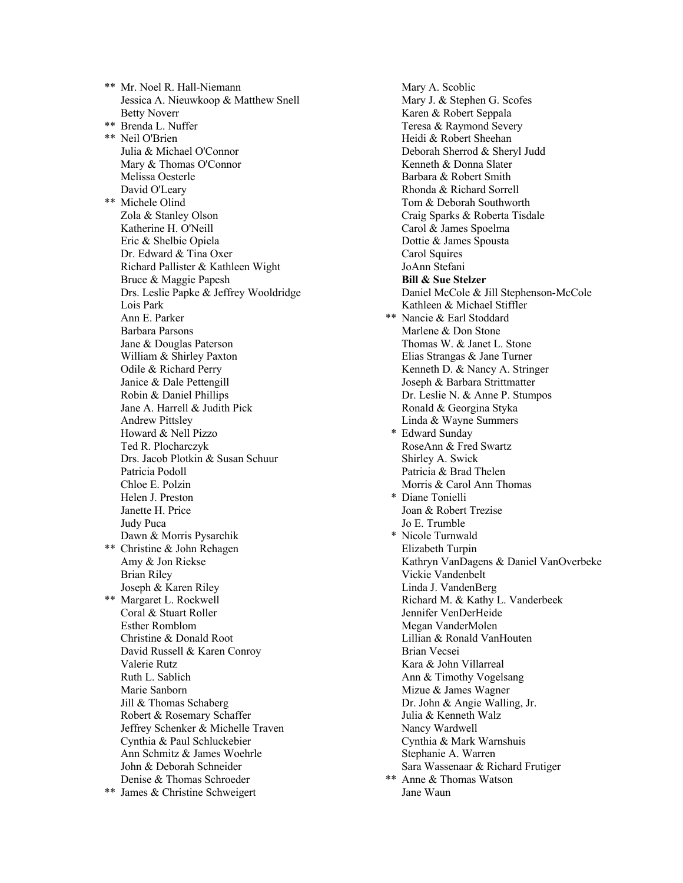\*\* Mr. Noel R. Hall-Niemann Jessica A. Nieuwkoop & Matthew Snell Betty Noverr \*\* Brenda L. Nuffer \*\* Neil O'Brien Julia & Michael O'Connor Mary & Thomas O'Connor Melissa Oesterle David O'Leary \*\* Michele Olind Zola & Stanley Olson Katherine H. O'Neill Eric & Shelbie Opiela Dr. Edward & Tina Oxer Richard Pallister & Kathleen Wight Bruce & Maggie Papesh Drs. Leslie Papke & Jeffrey Wooldridge Lois Park Ann E. Parker Barbara Parsons Jane & Douglas Paterson William & Shirley Paxton Odile & Richard Perry Janice & Dale Pettengill Robin & Daniel Phillips Jane A. Harrell & Judith Pick Andrew Pittsley Howard & Nell Pizzo Ted R. Plocharczyk Drs. Jacob Plotkin & Susan Schuur Patricia Podoll Chloe E. Polzin Helen J. Preston Janette H. Price Judy Puca Dawn & Morris Pysarchik \*\* Christine & John Rehagen Amy & Jon Riekse Brian Riley Joseph & Karen Riley \*\* Margaret L. Rockwell Coral & Stuart Roller Esther Romblom Christine & Donald Root David Russell & Karen Conroy Valerie Rutz Ruth L. Sablich Marie Sanborn Jill & Thomas Schaberg Robert & Rosemary Schaffer Jeffrey Schenker & Michelle Traven Cynthia & Paul Schluckebier Ann Schmitz & James Woehrle John & Deborah Schneider Denise & Thomas Schroeder \*\* James & Christine Schweigert

Mary A. Scoblic Mary J. & Stephen G. Scofes Karen & Robert Seppala Teresa & Raymond Severy Heidi & Robert Sheehan Deborah Sherrod & Sheryl Judd Kenneth & Donna Slater Barbara & Robert Smith Rhonda & Richard Sorrell Tom & Deborah Southworth Craig Sparks & Roberta Tisdale Carol & James Spoelma Dottie & James Spousta Carol Squires JoAnn Stefani **Bill & Sue Stelzer** Daniel McCole & Jill Stephenson-McCole Kathleen & Michael Stiffler \*\* Nancie & Earl Stoddard Marlene & Don Stone Thomas W. & Janet L. Stone Elias Strangas & Jane Turner Kenneth D. & Nancy A. Stringer Joseph & Barbara Strittmatter Dr. Leslie N. & Anne P. Stumpos Ronald & Georgina Styka Linda & Wayne Summers \* Edward Sunday RoseAnn & Fred Swartz Shirley A. Swick Patricia & Brad Thelen Morris & Carol Ann Thomas \* Diane Tonielli Joan & Robert Trezise Jo E. Trumble \* Nicole Turnwald Elizabeth Turpin Kathryn VanDagens & Daniel VanOverbeke Vickie Vandenbelt Linda J. VandenBerg Richard M. & Kathy L. Vanderbeek Jennifer VenDerHeide Megan VanderMolen Lillian & Ronald VanHouten Brian Vecsei Kara & John Villarreal Ann & Timothy Vogelsang Mizue & James Wagner Dr. John & Angie Walling, Jr. Julia & Kenneth Walz Nancy Wardwell Cynthia & Mark Warnshuis Stephanie A. Warren Sara Wassenaar & Richard Frutiger \*\* Anne & Thomas Watson Jane Waun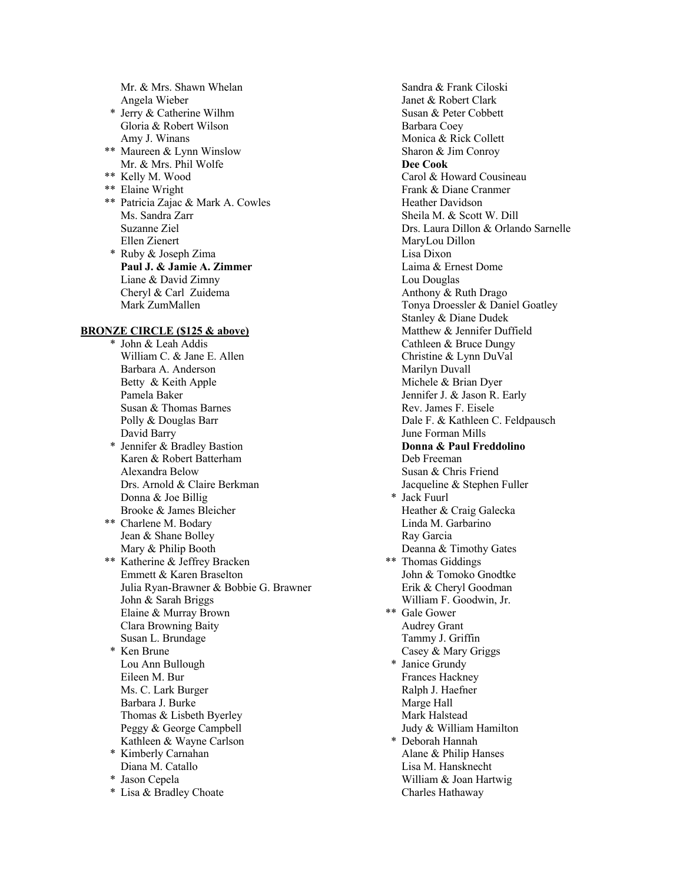Mr. & Mrs. Shawn Whelan Angela Wieber

- \* Jerry & Catherine Wilhm Gloria & Robert Wilson Amy J. Winans
- \*\* Maureen & Lynn Winslow Mr. & Mrs. Phil Wolfe
- \*\* Kelly M. Wood
- \*\* Elaine Wright
- \*\* Patricia Zajac & Mark A. Cowles Ms. Sandra Zarr Suzanne Ziel Ellen Zienert \* Ruby & Joseph Zima
	- **Paul J. & Jamie A. Zimmer** Liane & David Zimny Cheryl & Carl Zuidema Mark ZumMallen

# **BRONZE CIRCLE (\$125 & above)**

\* John & Leah Addis William C. & Jane E. Allen Barbara A. Anderson Betty & Keith Apple Pamela Baker Susan & Thomas Barnes Polly & Douglas Barr David Barry \* Jennifer & Bradley Bastion Karen & Robert Batterham Alexandra Below Drs. Arnold & Claire Berkman Donna & Joe Billig Brooke & James Bleicher \*\* Charlene M. Bodary Jean & Shane Bolley Mary & Philip Booth \*\* Katherine & Jeffrey Bracken Emmett & Karen Braselton Julia Ryan-Brawner & Bobbie G. Brawner John & Sarah Briggs Elaine & Murray Brown Clara Browning Baity Susan L. Brundage \* Ken Brune Lou Ann Bullough Eileen M. Bur Ms. C. Lark Burger Barbara J. Burke Thomas & Lisbeth Byerley Peggy & George Campbell Kathleen & Wayne Carlson \* Kimberly Carnahan Diana M. Catallo \* Jason Cepela \* Lisa & Bradley Choate

Sandra & Frank Ciloski Janet & Robert Clark Susan & Peter Cobbett Barbara Coey Monica & Rick Collett Sharon & Jim Conroy **Dee Cook** Carol & Howard Cousineau Frank & Diane Cranmer Heather Davidson Sheila M. & Scott W. Dill Drs. Laura Dillon & Orlando Sarnelle MaryLou Dillon Lisa Dixon Laima & Ernest Dome Lou Douglas Anthony & Ruth Drago Tonya Droessler & Daniel Goatley Stanley & Diane Dudek Matthew & Jennifer Duffield Cathleen & Bruce Dungy Christine & Lynn DuVal Marilyn Duvall Michele & Brian Dyer Jennifer J. & Jason R. Early Rev. James F. Eisele Dale F. & Kathleen C. Feldpausch June Forman Mills **Donna & Paul Freddolino** Deb Freeman Susan & Chris Friend Jacqueline & Stephen Fuller \* Jack Fuurl Heather & Craig Galecka Linda M. Garbarino Ray Garcia Deanna & Timothy Gates \*\* Thomas Giddings John & Tomoko Gnodtke Erik & Cheryl Goodman William F. Goodwin, Jr. \*\* Gale Gower Audrey Grant Tammy J. Griffin Casey & Mary Griggs \* Janice Grundy Frances Hackney Ralph J. Haefner Marge Hall Mark Halstead Judy & William Hamilton \* Deborah Hannah Alane & Philip Hanses Lisa M. Hansknecht William & Joan Hartwig Charles Hathaway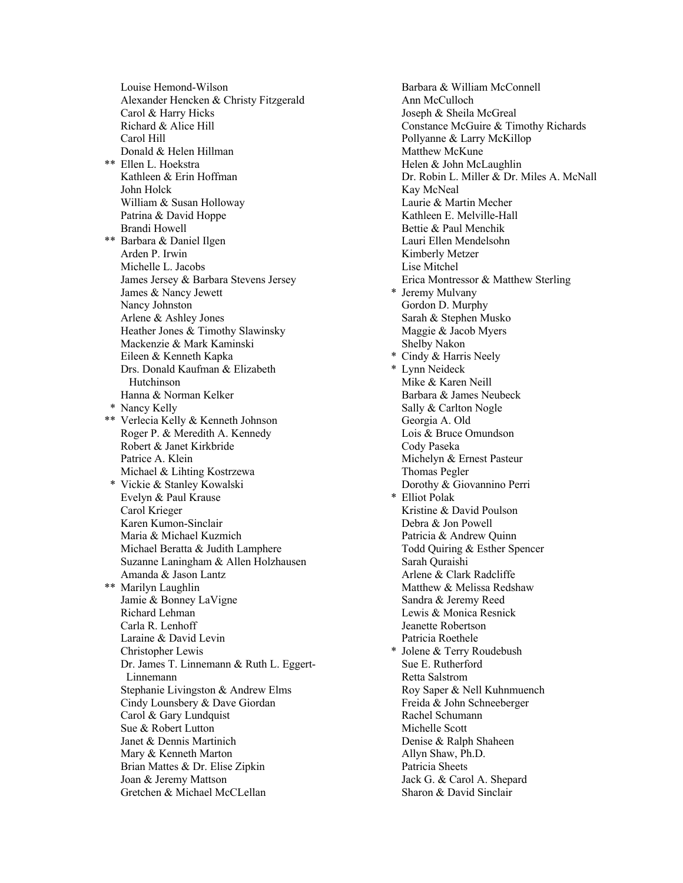Louise Hemond-Wilson Alexander Hencken & Christy Fitzgerald Carol & Harry Hicks Richard & Alice Hill Carol Hill Donald & Helen Hillman \*\* Ellen L. Hoekstra Kathleen & Erin Hoffman John Holck William & Susan Holloway Patrina & David Hoppe Brandi Howell \*\* Barbara & Daniel Ilgen Arden P. Irwin Michelle L. Jacobs James Jersey & Barbara Stevens Jersey James & Nancy Jewett Nancy Johnston Arlene & Ashley Jones Heather Jones & Timothy Slawinsky Mackenzie & Mark Kaminski Eileen & Kenneth Kapka Drs. Donald Kaufman & Elizabeth Hutchinson Hanna & Norman Kelker \* Nancy Kelly \*\* Verlecia Kelly & Kenneth Johnson Roger P. & Meredith A. Kennedy Robert & Janet Kirkbride Patrice A. Klein Michael & Lihting Kostrzewa \* Vickie & Stanley Kowalski Evelyn & Paul Krause Carol Krieger Karen Kumon-Sinclair Maria & Michael Kuzmich Michael Beratta & Judith Lamphere Suzanne Laningham & Allen Holzhausen Amanda & Jason Lantz \*\* Marilyn Laughlin Jamie & Bonney LaVigne Richard Lehman Carla R. Lenhoff Laraine & David Levin Christopher Lewis Dr. James T. Linnemann & Ruth L. Eggert- Linnemann Stephanie Livingston & Andrew Elms Cindy Lounsbery & Dave Giordan Carol & Gary Lundquist Sue & Robert Lutton Janet & Dennis Martinich Mary & Kenneth Marton Brian Mattes & Dr. Elise Zipkin Joan & Jeremy Mattson Gretchen & Michael McCLellan

Barbara & William McConnell Ann McCulloch Joseph & Sheila McGreal Constance McGuire & Timothy Richards Pollyanne & Larry McKillop Matthew McKune Helen & John McLaughlin Dr. Robin L. Miller & Dr. Miles A. McNall Kay McNeal Laurie & Martin Mecher Kathleen E. Melville-Hall Bettie & Paul Menchik Lauri Ellen Mendelsohn Kimberly Metzer Lise Mitchel Erica Montressor & Matthew Sterling \* Jeremy Mulvany Gordon D. Murphy Sarah & Stephen Musko Maggie & Jacob Myers Shelby Nakon \* Cindy & Harris Neely \* Lynn Neideck Mike & Karen Neill Barbara & James Neubeck Sally & Carlton Nogle Georgia A. Old Lois & Bruce Omundson Cody Paseka Michelyn & Ernest Pasteur Thomas Pegler Dorothy & Giovannino Perri \* Elliot Polak Kristine & David Poulson Debra & Jon Powell Patricia & Andrew Quinn Todd Quiring & Esther Spencer Sarah Quraishi Arlene & Clark Radcliffe Matthew & Melissa Redshaw Sandra & Jeremy Reed Lewis & Monica Resnick Jeanette Robertson Patricia Roethele \* Jolene & Terry Roudebush Sue E. Rutherford Retta Salstrom Roy Saper & Nell Kuhnmuench Freida & John Schneeberger Rachel Schumann Michelle Scott Denise & Ralph Shaheen Allyn Shaw, Ph.D. Patricia Sheets Jack G. & Carol A. Shepard Sharon & David Sinclair